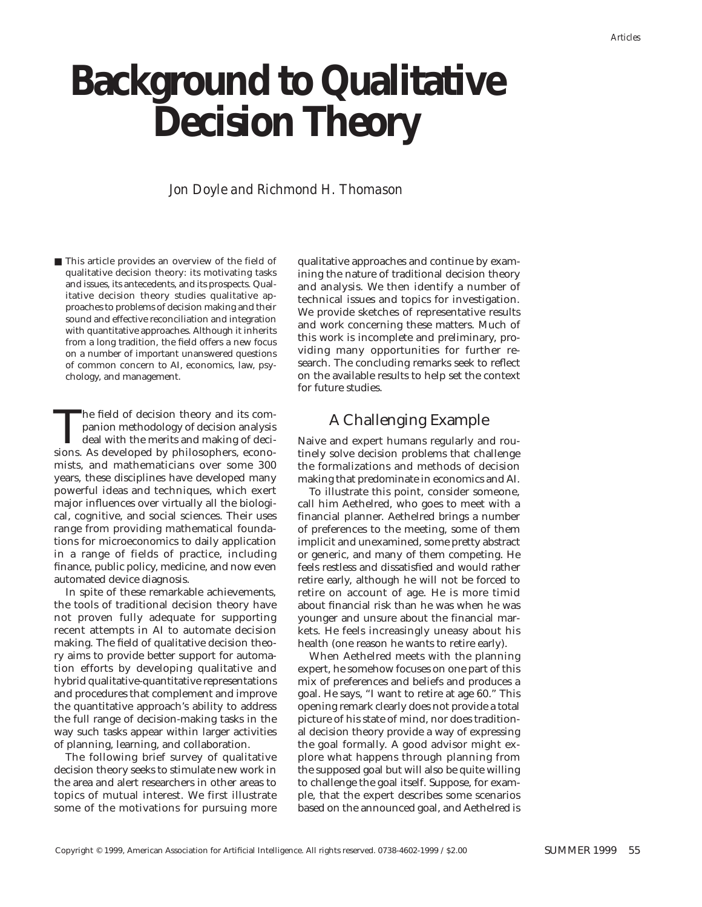# **Background to Qualitative Decision Theory**

## *Jon Doyle and Richmond H. Thomason*

■ This article provides an overview of the field of qualitative decision theory: its motivating tasks and issues, its antecedents, and its prospects. Qualitative decision theory studies qualitative approaches to problems of decision making and their sound and effective reconciliation and integration with quantitative approaches. Although it inherits from a long tradition, the field offers a new focus on a number of important unanswered questions of common concern to AI, economics, law, psychology, and management.

The field of decision theory and its companion methodology of decision analysis<br>deal with the merits and making of decisions.<br>As developed by philosophers, econopanion methodology of decision analysis deal with the merits and making of decisions. As developed by philosophers, economists, and mathematicians over some 300 years, these disciplines have developed many powerful ideas and techniques, which exert major influences over virtually all the biological, cognitive, and social sciences. Their uses range from providing mathematical foundations for microeconomics to daily application in a range of fields of practice, including finance, public policy, medicine, and now even automated device diagnosis.

In spite of these remarkable achievements, the tools of traditional decision theory have not proven fully adequate for supporting recent attempts in AI to automate decision making. The field of qualitative decision theory aims to provide better support for automation efforts by developing qualitative and hybrid qualitative-quantitative representations and procedures that complement and improve the quantitative approach's ability to address the full range of decision-making tasks in the way such tasks appear within larger activities of planning, learning, and collaboration.

The following brief survey of qualitative decision theory seeks to stimulate new work in the area and alert researchers in other areas to topics of mutual interest. We first illustrate some of the motivations for pursuing more

qualitative approaches and continue by examining the nature of traditional decision theory and analysis. We then identify a number of technical issues and topics for investigation. We provide sketches of representative results and work concerning these matters. Much of this work is incomplete and preliminary, providing many opportunities for further research. The concluding remarks seek to reflect on the available results to help set the context for future studies.

# A Challenging Example

Naive and expert humans regularly and routinely solve decision problems that challenge the formalizations and methods of decision making that predominate in economics and AI.

To illustrate this point, consider someone, call him Aethelred, who goes to meet with a financial planner. Aethelred brings a number of preferences to the meeting, some of them implicit and unexamined, some pretty abstract or generic, and many of them competing. He feels restless and dissatisfied and would rather retire early, although he will not be forced to retire on account of age. He is more timid about financial risk than he was when he was younger and unsure about the financial markets. He feels increasingly uneasy about his health (one reason he wants to retire early).

When Aethelred meets with the planning expert, he somehow focuses on one part of this mix of preferences and beliefs and produces a goal. He says, "I want to retire at age 60." This opening remark clearly does not provide a total picture of his state of mind, nor does traditional decision theory provide a way of expressing the goal formally. A good advisor might explore what happens through planning from the supposed goal but will also be quite willing to challenge the goal itself. Suppose, for example, that the expert describes some scenarios based on the announced goal, and Aethelred is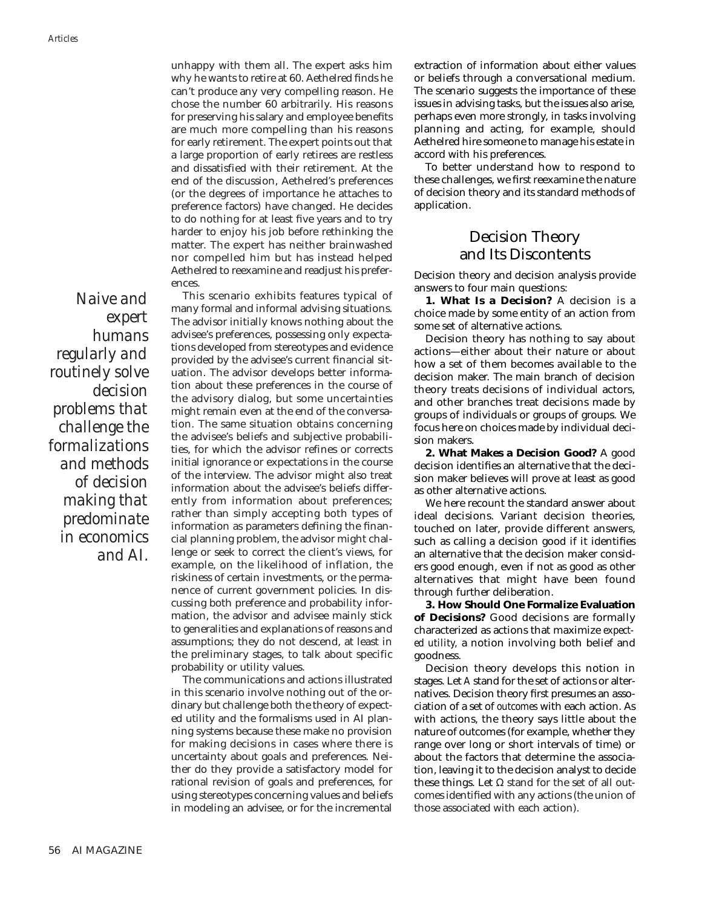unhappy with them all. The expert asks him why he wants to retire at 60. Aethelred finds he can't produce any very compelling reason. He chose the number 60 arbitrarily. His reasons for preserving his salary and employee benefits are much more compelling than his reasons for early retirement. The expert points out that a large proportion of early retirees are restless and dissatisfied with their retirement. At the end of the discussion, Aethelred's preferences (or the degrees of importance he attaches to preference factors) have changed. He decides to do nothing for at least five years and to try harder to enjoy his job before rethinking the matter. The expert has neither brainwashed nor compelled him but has instead helped Aethelred to reexamine and readjust his preferences.

*Naive and expert humans regularly and routinely solve decision problems that challenge the formalizations and methods of decision making that predominate in economics and AI.*

This scenario exhibits features typical of many formal and informal advising situations. The advisor initially knows nothing about the advisee's preferences, possessing only expectations developed from stereotypes and evidence provided by the advisee's current financial situation. The advisor develops better information about these preferences in the course of the advisory dialog, but some uncertainties might remain even at the end of the conversation. The same situation obtains concerning the advisee's beliefs and subjective probabilities, for which the advisor refines or corrects initial ignorance or expectations in the course of the interview. The advisor might also treat information about the advisee's beliefs differently from information about preferences; rather than simply accepting both types of information as parameters defining the financial planning problem, the advisor might challenge or seek to correct the client's views, for example, on the likelihood of inflation, the riskiness of certain investments, or the permanence of current government policies. In discussing both preference and probability information, the advisor and advisee mainly stick to generalities and explanations of reasons and assumptions; they do not descend, at least in the preliminary stages, to talk about specific probability or utility values.

The communications and actions illustrated in this scenario involve nothing out of the ordinary but challenge both the theory of expected utility and the formalisms used in AI planning systems because these make no provision for making decisions in cases where there is uncertainty about goals and preferences. Neither do they provide a satisfactory model for rational revision of goals and preferences, for using stereotypes concerning values and beliefs in modeling an advisee, or for the incremental extraction of information about either values or beliefs through a conversational medium. The scenario suggests the importance of these issues in advising tasks, but the issues also arise, perhaps even more strongly, in tasks involving planning and acting, for example, should Aethelred hire someone to manage his estate in accord with his preferences.

To better understand how to respond to these challenges, we first reexamine the nature of decision theory and its standard methods of application.

# Decision Theory and Its Discontents

Decision theory and decision analysis provide answers to four main questions:

**1. What Is a Decision?** A decision is a choice made by some entity of an action from some set of alternative actions.

Decision theory has nothing to say about actions—either about their nature or about how a set of them becomes available to the decision maker. The main branch of decision theory treats decisions of individual actors, and other branches treat decisions made by groups of individuals or groups of groups. We focus here on choices made by individual decision makers.

**2. What Makes a Decision Good?** A good decision identifies an alternative that the decision maker believes will prove at least as good as other alternative actions.

We here recount the standard answer about ideal decisions. Variant decision theories, touched on later, provide different answers, such as calling a decision good if it identifies an alternative that the decision maker considers good enough, even if not as good as other alternatives that might have been found through further deliberation.

**3. How Should One Formalize Evaluation of Decisions?** Good decisions are formally characterized as actions that maximize *expected utility,* a notion involving both belief and goodness.

Decision theory develops this notion in stages. Let *A* stand for the set of actions or alternatives. Decision theory first presumes an association of a set of *outcomes* with each action. As with actions, the theory says little about the nature of outcomes (for example, whether they range over long or short intervals of time) or about the factors that determine the association, leaving it to the decision analyst to decide these things. Let  $Ω$  stand for the set of all outcomes identified with any actions (the union of those associated with each action).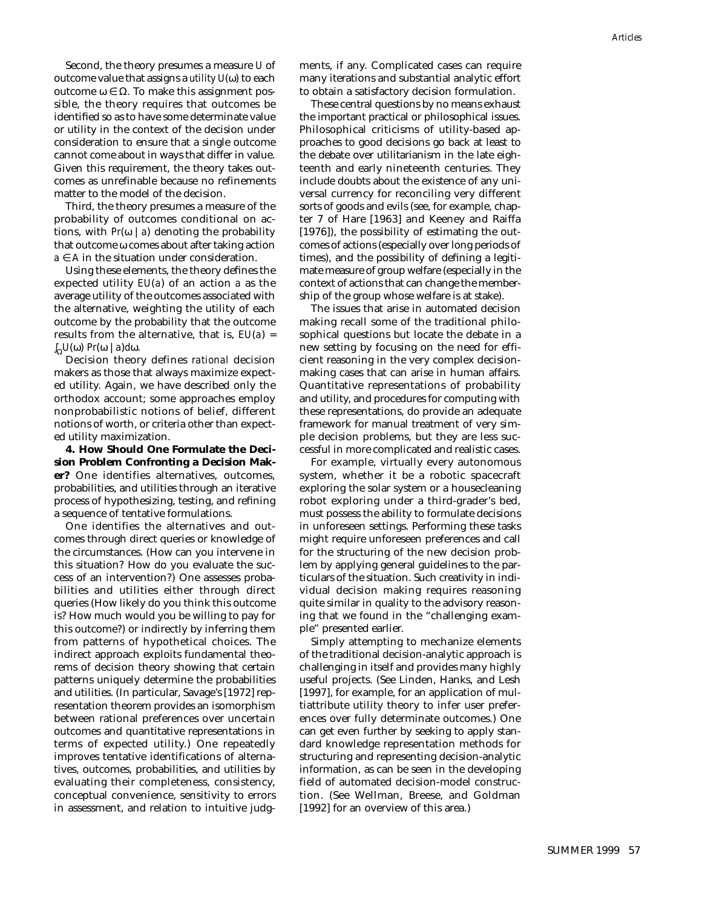Second, the theory presumes a measure *U* of outcome value that assigns a *utility U*(ω) to each outcome ω ∈ Ω. To make this assignment possible, the theory requires that outcomes be identified so as to have some determinate value or utility in the context of the decision under consideration to ensure that a single outcome cannot come about in ways that differ in value. Given this requirement, the theory takes outcomes as unrefinable because no refinements matter to the model of the decision.

Third, the theory presumes a measure of the probability of outcomes conditional on actions, with  $Pr(\omega | a)$  denoting the probability that outcome ω comes about after taking action  $a \in A$  in the situation under consideration.

Using these elements, the theory defines the expected utility *EU*(*a*) of an action *a* as the average utility of the outcomes associated with the alternative, weighting the utility of each outcome by the probability that the outcome results from the alternative, that is, *EU*(*a*) = ∫ <sup>Ω</sup>*U*(ω) *Pr*(ω | *a*)*d*ω.

Decision theory defines *rational* decision makers as those that always maximize expected utility. Again, we have described only the orthodox account; some approaches employ nonprobabilistic notions of belief, different notions of worth, or criteria other than expected utility maximization.

**4. How Should One Formulate the Decision Problem Confronting a Decision Maker?** One identifies alternatives, outcomes, probabilities, and utilities through an iterative process of hypothesizing, testing, and refining a sequence of tentative formulations.

One identifies the alternatives and outcomes through direct queries or knowledge of the circumstances. (How can you intervene in this situation? How do you evaluate the success of an intervention?) One assesses probabilities and utilities either through direct queries (How likely do you think this outcome is? How much would you be willing to pay for this outcome?) or indirectly by inferring them from patterns of hypothetical choices. The indirect approach exploits fundamental theorems of decision theory showing that certain patterns uniquely determine the probabilities and utilities. (In particular, Savage's [1972] representation theorem provides an isomorphism between rational preferences over uncertain outcomes and quantitative representations in terms of expected utility.) One repeatedly improves tentative identifications of alternatives, outcomes, probabilities, and utilities by evaluating their completeness, consistency, conceptual convenience, sensitivity to errors in assessment, and relation to intuitive judgments, if any. Complicated cases can require many iterations and substantial analytic effort to obtain a satisfactory decision formulation.

These central questions by no means exhaust the important practical or philosophical issues. Philosophical criticisms of utility-based approaches to good decisions go back at least to the debate over utilitarianism in the late eighteenth and early nineteenth centuries. They include doubts about the existence of any universal currency for reconciling very different sorts of goods and evils (see, for example, chapter 7 of Hare [1963] and Keeney and Raiffa [1976]), the possibility of estimating the outcomes of actions (especially over long periods of times), and the possibility of defining a legitimate measure of group welfare (especially in the context of actions that can change the membership of the group whose welfare is at stake).

The issues that arise in automated decision making recall some of the traditional philosophical questions but locate the debate in a new setting by focusing on the need for efficient reasoning in the very complex decisionmaking cases that can arise in human affairs. Quantitative representations of probability and utility, and procedures for computing with these representations, do provide an adequate framework for manual treatment of very simple decision problems, but they are less successful in more complicated and realistic cases.

For example, virtually every autonomous system, whether it be a robotic spacecraft exploring the solar system or a housecleaning robot exploring under a third-grader's bed, must possess the ability to formulate decisions in unforeseen settings. Performing these tasks might require unforeseen preferences and call for the structuring of the new decision problem by applying general guidelines to the particulars of the situation. Such creativity in individual decision making requires reasoning quite similar in quality to the advisory reasoning that we found in the "challenging example" presented earlier.

Simply attempting to mechanize elements of the traditional decision-analytic approach is challenging in itself and provides many highly useful projects. (See Linden, Hanks, and Lesh [1997], for example, for an application of multiattribute utility theory to infer user preferences over fully determinate outcomes.) One can get even further by seeking to apply standard knowledge representation methods for structuring and representing decision-analytic information, as can be seen in the developing field of automated decision-model construction. (See Wellman, Breese, and Goldman [1992] for an overview of this area.)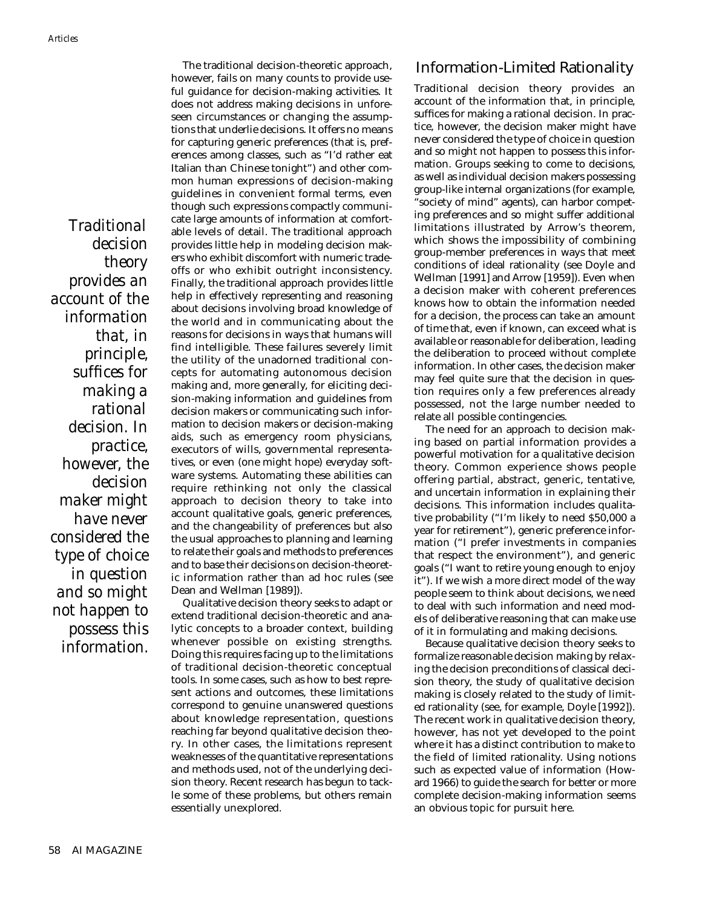*Traditional decision theory provides an account of the information that, in principle, suffices for making a rational decision. In practice, however, the decision maker might have never considered the type of choice in question and so might not happen to possess this information.*

The traditional decision-theoretic approach, however, fails on many counts to provide useful guidance for decision-making activities. It does not address making decisions in unforeseen circumstances or changing the assumptions that underlie decisions. It offers no means for capturing generic preferences (that is, preferences among classes, such as "I'd rather eat Italian than Chinese tonight") and other common human expressions of decision-making guidelines in convenient formal terms, even though such expressions compactly communicate large amounts of information at comfortable levels of detail. The traditional approach provides little help in modeling decision makers who exhibit discomfort with numeric tradeoffs or who exhibit outright inconsistency. Finally, the traditional approach provides little help in effectively representing and reasoning about decisions involving broad knowledge of the world and in communicating about the reasons for decisions in ways that humans will find intelligible. These failures severely limit the utility of the unadorned traditional concepts for automating autonomous decision making and, more generally, for eliciting decision-making information and guidelines from decision makers or communicating such information to decision makers or decision-making aids, such as emergency room physicians, executors of wills, governmental representatives, or even (one might hope) everyday software systems. Automating these abilities can require rethinking not only the classical approach to decision theory to take into account qualitative goals, generic preferences, and the changeability of preferences but also the usual approaches to planning and learning to relate their goals and methods to preferences and to base their decisions on decision-theoretic information rather than ad hoc rules (see Dean and Wellman [1989]).

Qualitative decision theory seeks to adapt or extend traditional decision-theoretic and analytic concepts to a broader context, building whenever possible on existing strengths. Doing this requires facing up to the limitations of traditional decision-theoretic conceptual tools. In some cases, such as how to best represent actions and outcomes, these limitations correspond to genuine unanswered questions about knowledge representation, questions reaching far beyond qualitative decision theory. In other cases, the limitations represent weaknesses of the quantitative representations and methods used, not of the underlying decision theory. Recent research has begun to tackle some of these problems, but others remain essentially unexplored.

## Information-Limited Rationality

Traditional decision theory provides an account of the information that, in principle, suffices for making a rational decision. In practice, however, the decision maker might have never considered the type of choice in question and so might not happen to possess this information. Groups seeking to come to decisions, as well as individual decision makers possessing group-like internal organizations (for example, "society of mind" agents), can harbor competing preferences and so might suffer additional limitations illustrated by Arrow's theorem, which shows the impossibility of combining group-member preferences in ways that meet conditions of ideal rationality (see Doyle and Wellman [1991] and Arrow [1959]). Even when a decision maker with coherent preferences knows how to obtain the information needed for a decision, the process can take an amount of time that, even if known, can exceed what is available or reasonable for deliberation, leading the deliberation to proceed without complete information. In other cases, the decision maker may feel quite sure that the decision in question requires only a few preferences already possessed, not the large number needed to relate all possible contingencies.

The need for an approach to decision making based on partial information provides a powerful motivation for a qualitative decision theory. Common experience shows people offering partial, abstract, generic, tentative, and uncertain information in explaining their decisions. This information includes qualitative probability ("I'm likely to need \$50,000 a year for retirement"), generic preference information ("I prefer investments in companies that respect the environment"), and generic goals ("I want to retire young enough to enjoy it"). If we wish a more direct model of the way people seem to think about decisions, we need to deal with such information and need models of deliberative reasoning that can make use of it in formulating and making decisions.

Because qualitative decision theory seeks to formalize reasonable decision making by relaxing the decision preconditions of classical decision theory, the study of qualitative decision making is closely related to the study of limited rationality (see, for example, Doyle [1992]). The recent work in qualitative decision theory, however, has not yet developed to the point where it has a distinct contribution to make to the field of limited rationality. Using notions such as expected value of information (Howard 1966) to guide the search for better or more complete decision-making information seems an obvious topic for pursuit here.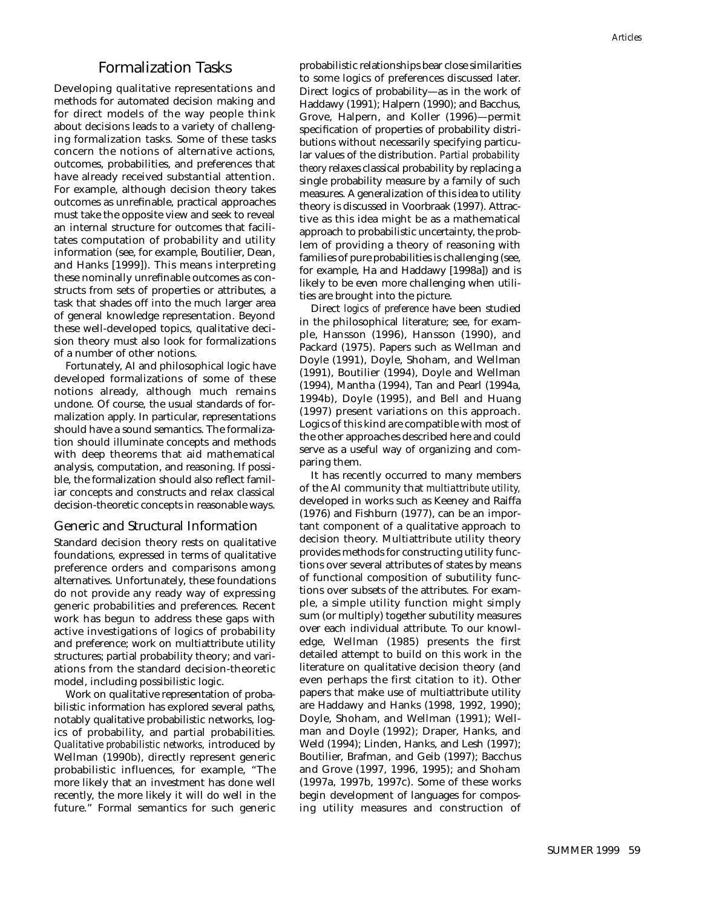## Formalization Tasks

Developing qualitative representations and methods for automated decision making and for direct models of the way people think about decisions leads to a variety of challenging formalization tasks. Some of these tasks concern the notions of alternative actions, outcomes, probabilities, and preferences that have already received substantial attention. For example, although decision theory takes outcomes as unrefinable, practical approaches must take the opposite view and seek to reveal an internal structure for outcomes that facilitates computation of probability and utility information (see, for example, Boutilier, Dean, and Hanks [1999]). This means interpreting these nominally unrefinable outcomes as constructs from sets of properties or attributes, a task that shades off into the much larger area of general knowledge representation. Beyond these well-developed topics, qualitative decision theory must also look for formalizations of a number of other notions.

Fortunately, AI and philosophical logic have developed formalizations of some of these notions already, although much remains undone. Of course, the usual standards of formalization apply. In particular, representations should have a sound semantics. The formalization should illuminate concepts and methods with deep theorems that aid mathematical analysis, computation, and reasoning. If possible, the formalization should also reflect familiar concepts and constructs and relax classical decision-theoretic concepts in reasonable ways.

#### Generic and Structural Information

Standard decision theory rests on qualitative foundations, expressed in terms of qualitative preference orders and comparisons among alternatives. Unfortunately, these foundations do not provide any ready way of expressing generic probabilities and preferences. Recent work has begun to address these gaps with active investigations of logics of probability and preference; work on multiattribute utility structures; partial probability theory; and variations from the standard decision-theoretic model, including possibilistic logic.

Work on qualitative representation of probabilistic information has explored several paths, notably qualitative probabilistic networks, logics of probability, and partial probabilities. *Qualitative probabilistic networks,* introduced by Wellman (1990b), directly represent generic probabilistic influences, for example, "The more likely that an investment has done well recently, the more likely it will do well in the future." Formal semantics for such generic probabilistic relationships bear close similarities to some logics of preferences discussed later. Direct logics of probability—as in the work of Haddawy (1991); Halpern (1990); and Bacchus, Grove, Halpern, and Koller (1996)—permit specification of properties of probability distributions without necessarily specifying particular values of the distribution. *Partial probability theory* relaxes classical probability by replacing a single probability measure by a family of such measures. A generalization of this idea to utility theory is discussed in Voorbraak (1997). Attractive as this idea might be as a mathematical approach to probabilistic uncertainty, the problem of providing a theory of reasoning with families of pure probabilities is challenging (see, for example, Ha and Haddawy [1998a]) and is likely to be even more challenging when utilities are brought into the picture.

Direct *logics of preference* have been studied in the philosophical literature; see, for example, Hansson (1996), Hansson (1990), and Packard (1975). Papers such as Wellman and Doyle (1991), Doyle, Shoham, and Wellman (1991), Boutilier (1994), Doyle and Wellman (1994), Mantha (1994), Tan and Pearl (1994a, 1994b), Doyle (1995), and Bell and Huang (1997) present variations on this approach. Logics of this kind are compatible with most of the other approaches described here and could serve as a useful way of organizing and comparing them.

It has recently occurred to many members of the AI community that *multiattribute utility,* developed in works such as Keeney and Raiffa (1976) and Fishburn (1977), can be an important component of a qualitative approach to decision theory. Multiattribute utility theory provides methods for constructing utility functions over several attributes of states by means of functional composition of subutility functions over subsets of the attributes. For example, a simple utility function might simply sum (or multiply) together subutility measures over each individual attribute. To our knowledge, Wellman (1985) presents the first detailed attempt to build on this work in the literature on qualitative decision theory (and even perhaps the first citation to it). Other papers that make use of multiattribute utility are Haddawy and Hanks (1998, 1992, 1990); Doyle, Shoham, and Wellman (1991); Wellman and Doyle (1992); Draper, Hanks, and Weld (1994); Linden, Hanks, and Lesh (1997); Boutilier, Brafman, and Geib (1997); Bacchus and Grove (1997, 1996, 1995); and Shoham (1997a, 1997b, 1997c). Some of these works begin development of languages for composing utility measures and construction of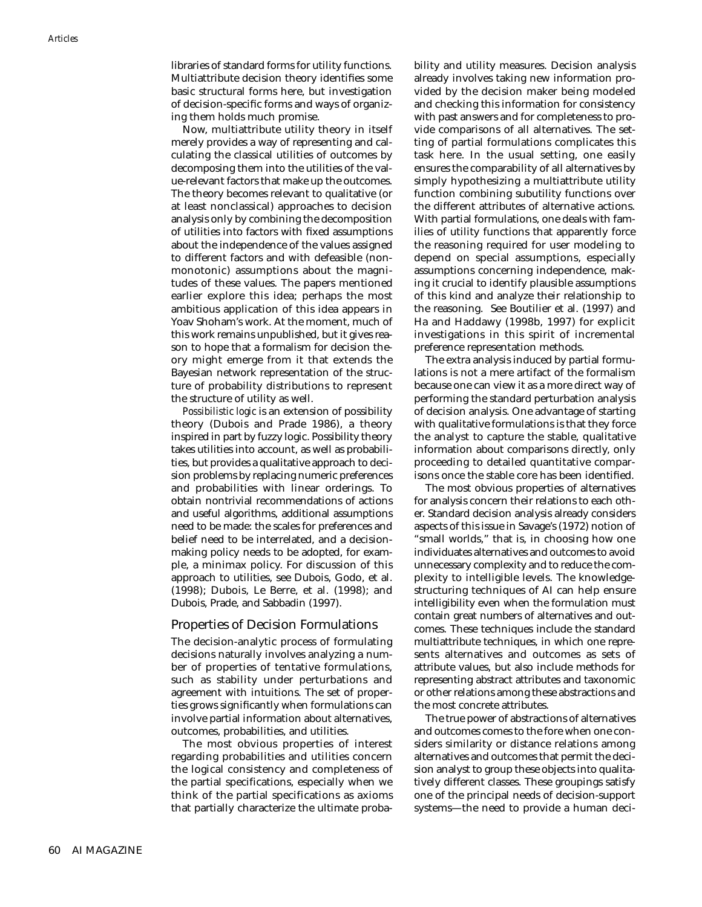libraries of standard forms for utility functions. Multiattribute decision theory identifies some basic structural forms here, but investigation of decision-specific forms and ways of organizing them holds much promise.

Now, multiattribute utility theory in itself merely provides a way of representing and calculating the classical utilities of outcomes by decomposing them into the utilities of the value-relevant factors that make up the outcomes. The theory becomes relevant to qualitative (or at least nonclassical) approaches to decision analysis only by combining the decomposition of utilities into factors with fixed assumptions about the independence of the values assigned to different factors and with defeasible (nonmonotonic) assumptions about the magnitudes of these values. The papers mentioned earlier explore this idea; perhaps the most ambitious application of this idea appears in Yoav Shoham's work. At the moment, much of this work remains unpublished, but it gives reason to hope that a formalism for decision theory might emerge from it that extends the Bayesian network representation of the structure of probability distributions to represent the structure of utility as well.

*Possibilistic logic* is an extension of possibility theory (Dubois and Prade 1986), a theory inspired in part by fuzzy logic. Possibility theory takes utilities into account, as well as probabilities, but provides a qualitative approach to decision problems by replacing numeric preferences and probabilities with linear orderings. To obtain nontrivial recommendations of actions and useful algorithms, additional assumptions need to be made: the scales for preferences and belief need to be interrelated, and a decisionmaking policy needs to be adopted, for example, a minimax policy. For discussion of this approach to utilities, see Dubois, Godo, et al. (1998); Dubois, Le Berre, et al. (1998); and Dubois, Prade, and Sabbadin (1997).

#### Properties of Decision Formulations

The decision-analytic process of formulating decisions naturally involves analyzing a number of properties of tentative formulations, such as stability under perturbations and agreement with intuitions. The set of properties grows significantly when formulations can involve partial information about alternatives, outcomes, probabilities, and utilities.

The most obvious properties of interest regarding probabilities and utilities concern the logical consistency and completeness of the partial specifications, especially when we think of the partial specifications as axioms that partially characterize the ultimate probability and utility measures. Decision analysis already involves taking new information provided by the decision maker being modeled and checking this information for consistency with past answers and for completeness to provide comparisons of all alternatives. The setting of partial formulations complicates this task here. In the usual setting, one easily ensures the comparability of all alternatives by simply hypothesizing a multiattribute utility function combining subutility functions over the different attributes of alternative actions. With partial formulations, one deals with families of utility functions that apparently force the reasoning required for user modeling to depend on special assumptions, especially assumptions concerning independence, making it crucial to identify plausible assumptions of this kind and analyze their relationship to the reasoning. See Boutilier et al. (1997) and Ha and Haddawy (1998b, 1997) for explicit investigations in this spirit of incremental preference representation methods.

The extra analysis induced by partial formulations is not a mere artifact of the formalism because one can view it as a more direct way of performing the standard perturbation analysis of decision analysis. One advantage of starting with qualitative formulations is that they force the analyst to capture the stable, qualitative information about comparisons directly, only proceeding to detailed quantitative comparisons once the stable core has been identified.

The most obvious properties of alternatives for analysis concern their relations to each other. Standard decision analysis already considers aspects of this issue in Savage's (1972) notion of "small worlds," that is, in choosing how one individuates alternatives and outcomes to avoid unnecessary complexity and to reduce the complexity to intelligible levels. The knowledgestructuring techniques of AI can help ensure intelligibility even when the formulation must contain great numbers of alternatives and outcomes. These techniques include the standard multiattribute techniques, in which one represents alternatives and outcomes as sets of attribute values, but also include methods for representing abstract attributes and taxonomic or other relations among these abstractions and the most concrete attributes.

The true power of abstractions of alternatives and outcomes comes to the fore when one considers similarity or distance relations among alternatives and outcomes that permit the decision analyst to group these objects into qualitatively different classes. These groupings satisfy one of the principal needs of decision-support systems—the need to provide a human deci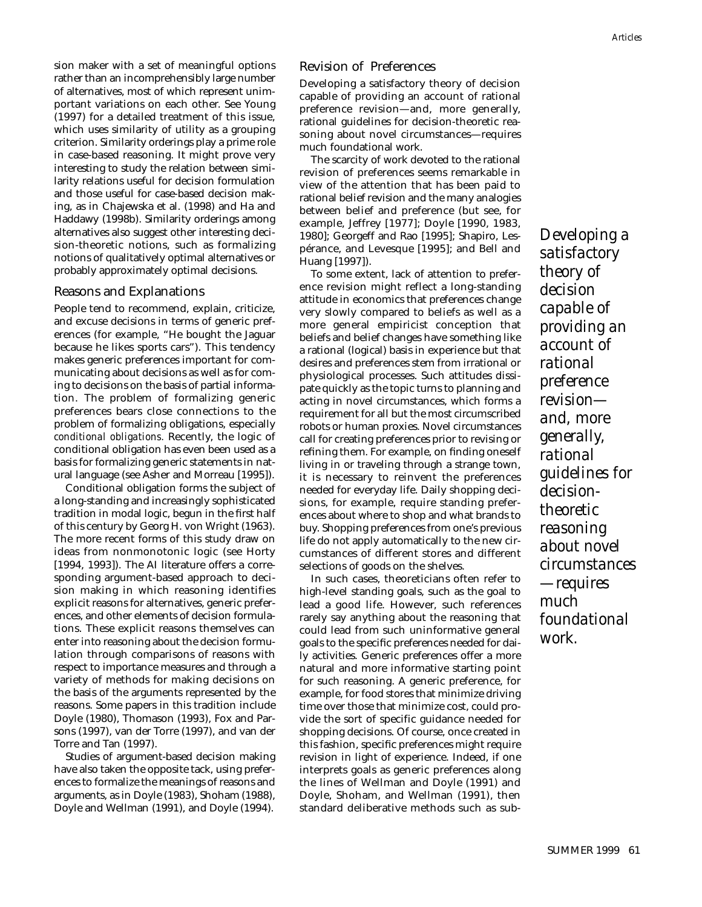sion maker with a set of meaningful options rather than an incomprehensibly large number of alternatives, most of which represent unimportant variations on each other. See Young (1997) for a detailed treatment of this issue, which uses similarity of utility as a grouping criterion. Similarity orderings play a prime role in case-based reasoning. It might prove very interesting to study the relation between similarity relations useful for decision formulation and those useful for case-based decision making, as in Chajewska et al. (1998) and Ha and Haddawy (1998b). Similarity orderings among alternatives also suggest other interesting decision-theoretic notions, such as formalizing notions of qualitatively optimal alternatives or probably approximately optimal decisions.

## Reasons and Explanations

People tend to recommend, explain, criticize, and excuse decisions in terms of generic preferences (for example, "He bought the Jaguar because he likes sports cars"). This tendency makes generic preferences important for communicating about decisions as well as for coming to decisions on the basis of partial information. The problem of formalizing generic preferences bears close connections to the problem of formalizing obligations, especially *conditional obligations.* Recently, the logic of conditional obligation has even been used as a basis for formalizing generic statements in natural language (see Asher and Morreau [1995]).

Conditional obligation forms the subject of a long-standing and increasingly sophisticated tradition in modal logic, begun in the first half of this century by Georg H. von Wright (1963). The more recent forms of this study draw on ideas from nonmonotonic logic (see Horty [1994, 1993]). The AI literature offers a corresponding argument-based approach to decision making in which reasoning identifies explicit reasons for alternatives, generic preferences, and other elements of decision formulations. These explicit reasons themselves can enter into reasoning about the decision formulation through comparisons of reasons with respect to importance measures and through a variety of methods for making decisions on the basis of the arguments represented by the reasons. Some papers in this tradition include Doyle (1980), Thomason (1993), Fox and Parsons (1997), van der Torre (1997), and van der Torre and Tan (1997).

Studies of argument-based decision making have also taken the opposite tack, using preferences to formalize the meanings of reasons and arguments, as in Doyle (1983), Shoham (1988), Doyle and Wellman (1991), and Doyle (1994).

## Revision of Preferences

Developing a satisfactory theory of decision capable of providing an account of rational preference revision—and, more generally, rational guidelines for decision-theoretic reasoning about novel circumstances—requires much foundational work.

The scarcity of work devoted to the rational revision of preferences seems remarkable in view of the attention that has been paid to rational belief revision and the many analogies between belief and preference (but see, for example, Jeffrey [1977]; Doyle [1990, 1983, 1980]; Georgeff and Rao [1995]; Shapiro, Lespérance, and Levesque [1995]; and Bell and Huang [1997]).

To some extent, lack of attention to preference revision might reflect a long-standing attitude in economics that preferences change very slowly compared to beliefs as well as a more general empiricist conception that beliefs and belief changes have something like a rational (logical) basis in experience but that desires and preferences stem from irrational or physiological processes. Such attitudes dissipate quickly as the topic turns to planning and acting in novel circumstances, which forms a requirement for all but the most circumscribed robots or human proxies. Novel circumstances call for creating preferences prior to revising or refining them. For example, on finding oneself living in or traveling through a strange town, it is necessary to reinvent the preferences needed for everyday life. Daily shopping decisions, for example, require standing preferences about where to shop and what brands to buy. Shopping preferences from one's previous life do not apply automatically to the new circumstances of different stores and different selections of goods on the shelves.

In such cases, theoreticians often refer to high-level standing goals, such as the goal to lead a good life. However, such references rarely say anything about the reasoning that could lead from such uninformative general goals to the specific preferences needed for daily activities. Generic preferences offer a more natural and more informative starting point for such reasoning. A generic preference, for example, for food stores that minimize driving time over those that minimize cost, could provide the sort of specific guidance needed for shopping decisions. Of course, once created in this fashion, specific preferences might require revision in light of experience. Indeed, if one interprets goals as generic preferences along the lines of Wellman and Doyle (1991) and Doyle, Shoham, and Wellman (1991), then standard deliberative methods such as sub-

*Developing a satisfactory theory of decision capable of providing an account of rational preference revision and, more generally, rational guidelines for decisiontheoretic reasoning about novel circumstances —requires much foundational work.*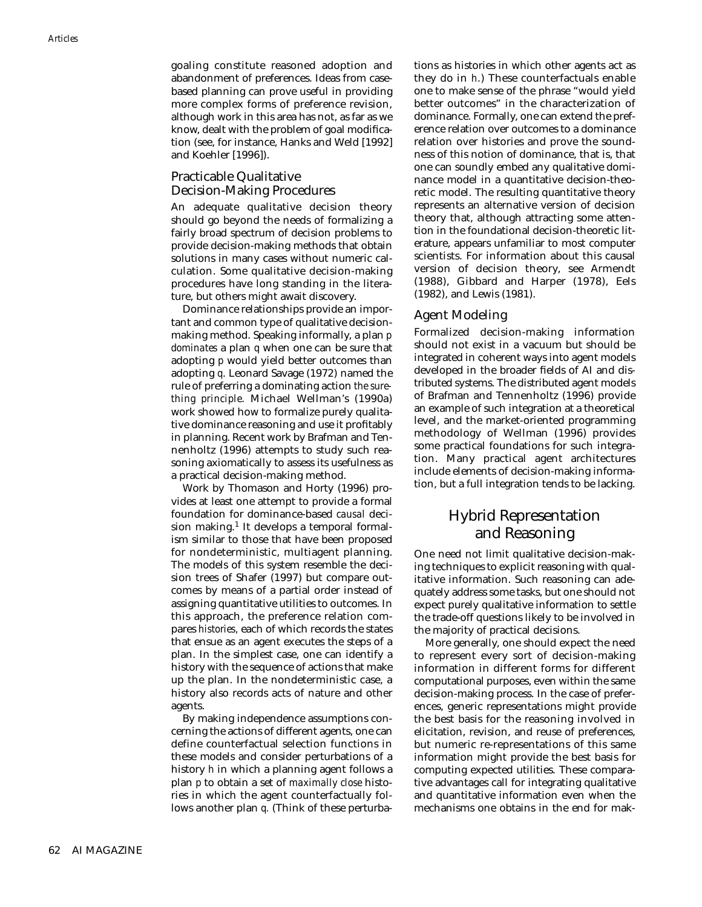goaling constitute reasoned adoption and abandonment of preferences. Ideas from casebased planning can prove useful in providing more complex forms of preference revision, although work in this area has not, as far as we know, dealt with the problem of goal modification (see, for instance, Hanks and Weld [1992] and Koehler [1996]).

## Practicable Qualitative Decision-Making Procedures

An adequate qualitative decision theory should go beyond the needs of formalizing a fairly broad spectrum of decision problems to provide decision-making methods that obtain solutions in many cases without numeric calculation. Some qualitative decision-making procedures have long standing in the literature, but others might await discovery.

Dominance relationships provide an important and common type of qualitative decisionmaking method. Speaking informally, a plan *p dominates* a plan *q* when one can be sure that adopting *p* would yield better outcomes than adopting *q*. Leonard Savage (1972) named the rule of preferring a dominating action *the surething principle*. Michael Wellman's (1990a) work showed how to formalize purely qualitative dominance reasoning and use it profitably in planning. Recent work by Brafman and Tennenholtz (1996) attempts to study such reasoning axiomatically to assess its usefulness as a practical decision-making method.

Work by Thomason and Horty (1996) provides at least one attempt to provide a formal foundation for dominance-based *causal* decision making. $<sup>1</sup>$  It develops a temporal formal-</sup> ism similar to those that have been proposed for nondeterministic, multiagent planning. The models of this system resemble the decision trees of Shafer (1997) but compare outcomes by means of a partial order instead of assigning quantitative utilities to outcomes. In this approach, the preference relation compares *histories,* each of which records the states that ensue as an agent executes the steps of a plan. In the simplest case, one can identify a history with the sequence of actions that make up the plan. In the nondeterministic case, a history also records acts of nature and other agents.

By making independence assumptions concerning the actions of different agents, one can define counterfactual selection functions in these models and consider perturbations of a history *h* in which a planning agent follows a plan *p* to obtain a set of *maximally close* histories in which the agent counterfactually follows another plan *q.* (Think of these perturbations as histories in which other agents act as they do in *h*.) These counterfactuals enable one to make sense of the phrase "would yield better outcomes" in the characterization of dominance. Formally, one can extend the preference relation over outcomes to a dominance relation over histories and prove the soundness of this notion of dominance, that is, that one can soundly embed any qualitative dominance model in a quantitative decision-theoretic model. The resulting quantitative theory represents an alternative version of decision theory that, although attracting some attention in the foundational decision-theoretic literature, appears unfamiliar to most computer scientists. For information about this causal version of decision theory, see Armendt (1988), Gibbard and Harper (1978), Eels (1982), and Lewis (1981).

## Agent Modeling

Formalized decision-making information should not exist in a vacuum but should be integrated in coherent ways into agent models developed in the broader fields of AI and distributed systems. The distributed agent models of Brafman and Tennenholtz (1996) provide an example of such integration at a theoretical level, and the market-oriented programming methodology of Wellman (1996) provides some practical foundations for such integration. Many practical agent architectures include elements of decision-making information, but a full integration tends to be lacking.

# Hybrid Representation and Reasoning

One need not limit qualitative decision-making techniques to explicit reasoning with qualitative information. Such reasoning can adequately address some tasks, but one should not expect purely qualitative information to settle the trade-off questions likely to be involved in the majority of practical decisions.

More generally, one should expect the need to represent every sort of decision-making information in different forms for different computational purposes, even within the same decision-making process. In the case of preferences, generic representations might provide the best basis for the reasoning involved in elicitation, revision, and reuse of preferences, but numeric re-representations of this same information might provide the best basis for computing expected utilities. These comparative advantages call for integrating qualitative and quantitative information even when the mechanisms one obtains in the end for mak-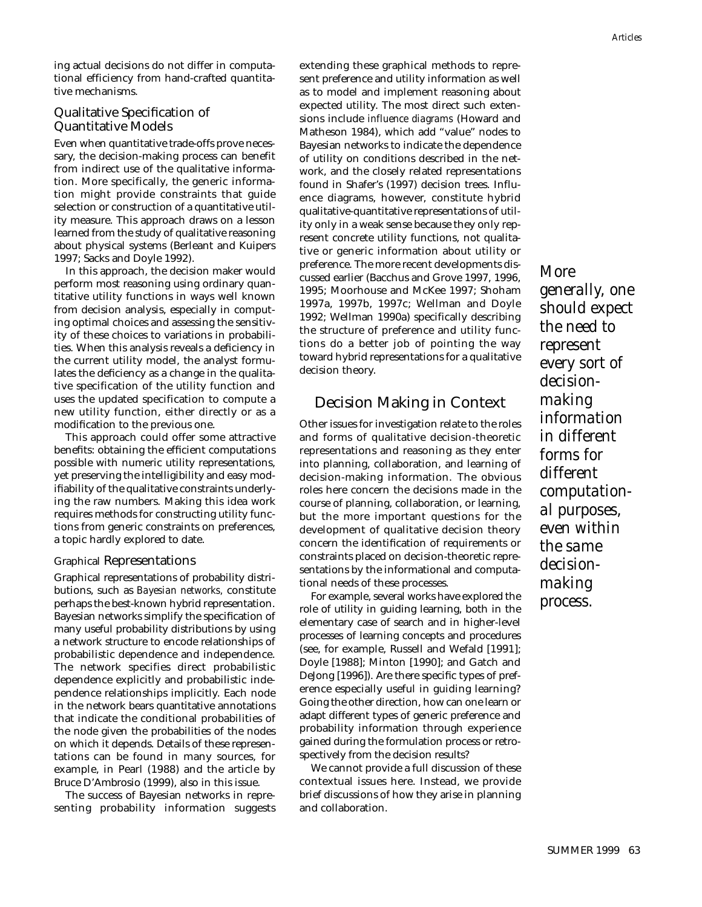## Qualitative Specification of Quantitative Models

Even when quantitative trade-offs prove necessary, the decision-making process can benefit from indirect use of the qualitative information. More specifically, the generic information might provide constraints that guide selection or construction of a quantitative utility measure. This approach draws on a lesson learned from the study of qualitative reasoning about physical systems (Berleant and Kuipers 1997; Sacks and Doyle 1992).

In this approach, the decision maker would perform most reasoning using ordinary quantitative utility functions in ways well known from decision analysis, especially in computing optimal choices and assessing the sensitivity of these choices to variations in probabilities. When this analysis reveals a deficiency in the current utility model, the analyst formulates the deficiency as a change in the qualitative specification of the utility function and uses the updated specification to compute a new utility function, either directly or as a modification to the previous one.

This approach could offer some attractive benefits: obtaining the efficient computations possible with numeric utility representations, yet preserving the intelligibility and easy modifiability of the qualitative constraints underlying the raw numbers. Making this idea work requires methods for constructing utility functions from generic constraints on preferences, a topic hardly explored to date.

#### Graphical Representations

Graphical representations of probability distributions, such as *Bayesian networks,* constitute perhaps the best-known hybrid representation. Bayesian networks simplify the specification of many useful probability distributions by using a network structure to encode relationships of probabilistic dependence and independence. The network specifies direct probabilistic dependence explicitly and probabilistic independence relationships implicitly. Each node in the network bears quantitative annotations that indicate the conditional probabilities of the node given the probabilities of the nodes on which it depends. Details of these representations can be found in many sources, for example, in Pearl (1988) and the article by Bruce D'Ambrosio (1999), also in this issue.

The success of Bayesian networks in representing probability information suggests extending these graphical methods to represent preference and utility information as well as to model and implement reasoning about expected utility. The most direct such extensions include *influence diagrams* (Howard and Matheson 1984), which add "value" nodes to Bayesian networks to indicate the dependence of utility on conditions described in the network, and the closely related representations found in Shafer's (1997) decision trees. Influence diagrams, however, constitute hybrid qualitative-quantitative representations of utility only in a weak sense because they only represent concrete utility functions, not qualitative or generic information about utility or preference. The more recent developments discussed earlier (Bacchus and Grove 1997, 1996, 1995; Moorhouse and McKee 1997; Shoham 1997a, 1997b, 1997c; Wellman and Doyle 1992; Wellman 1990a) specifically describing the structure of preference and utility functions do a better job of pointing the way toward hybrid representations for a qualitative decision theory.

# Decision Making in Context

Other issues for investigation relate to the roles and forms of qualitative decision-theoretic representations and reasoning as they enter into planning, collaboration, and learning of decision-making information. The obvious roles here concern the decisions made in the course of planning, collaboration, or learning, but the more important questions for the development of qualitative decision theory concern the identification of requirements or constraints placed on decision-theoretic representations by the informational and computational needs of these processes.

For example, several works have explored the role of utility in guiding learning, both in the elementary case of search and in higher-level processes of learning concepts and procedures (see, for example, Russell and Wefald [1991]; Doyle [1988]; Minton [1990]; and Gatch and DeJong [1996]). Are there specific types of preference especially useful in guiding learning? Going the other direction, how can one learn or adapt different types of generic preference and probability information through experience gained during the formulation process or retrospectively from the decision results?

We cannot provide a full discussion of these contextual issues here. Instead, we provide brief discussions of how they arise in planning and collaboration.

*More generally, one should expect the need to represent every sort of decisionmaking information in different forms for different computational purposes, even within the same decisionmaking process.*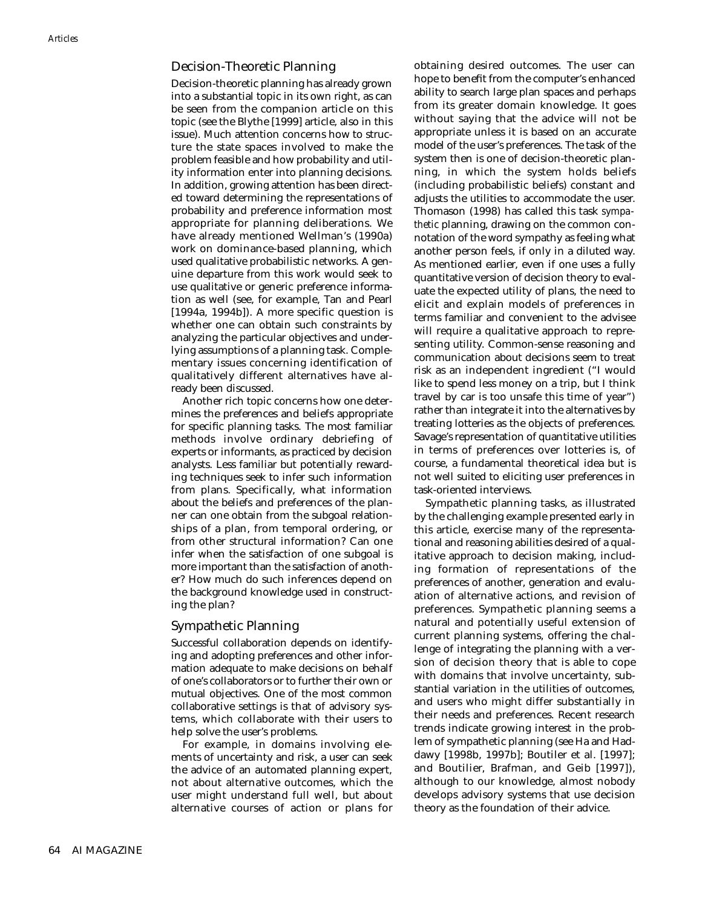## Decision-Theoretic Planning

Decision-theoretic planning has already grown into a substantial topic in its own right, as can be seen from the companion article on this topic (see the Blythe [1999] article, also in this issue). Much attention concerns how to structure the state spaces involved to make the problem feasible and how probability and utility information enter into planning decisions. In addition, growing attention has been directed toward determining the representations of probability and preference information most appropriate for planning deliberations. We have already mentioned Wellman's (1990a) work on dominance-based planning, which used qualitative probabilistic networks. A genuine departure from this work would seek to use qualitative or generic preference information as well (see, for example, Tan and Pearl [1994a, 1994b]). A more specific question is whether one can obtain such constraints by analyzing the particular objectives and underlying assumptions of a planning task. Complementary issues concerning identification of qualitatively different alternatives have already been discussed.

Another rich topic concerns how one determines the preferences and beliefs appropriate for specific planning tasks. The most familiar methods involve ordinary debriefing of experts or informants, as practiced by decision analysts. Less familiar but potentially rewarding techniques seek to infer such information from plans. Specifically, what information about the beliefs and preferences of the planner can one obtain from the subgoal relationships of a plan, from temporal ordering, or from other structural information? Can one infer when the satisfaction of one subgoal is more important than the satisfaction of another? How much do such inferences depend on the background knowledge used in constructing the plan?

## Sympathetic Planning

Successful collaboration depends on identifying and adopting preferences and other information adequate to make decisions on behalf of one's collaborators or to further their own or mutual objectives. One of the most common collaborative settings is that of advisory systems, which collaborate with their users to help solve the user's problems.

For example, in domains involving elements of uncertainty and risk, a user can seek the advice of an automated planning expert, not about alternative outcomes, which the user might understand full well, but about alternative courses of action or plans for obtaining desired outcomes. The user can hope to benefit from the computer's enhanced ability to search large plan spaces and perhaps from its greater domain knowledge. It goes without saying that the advice will not be appropriate unless it is based on an accurate model of the user's preferences. The task of the system then is one of decision-theoretic planning, in which the system holds beliefs (including probabilistic beliefs) constant and adjusts the utilities to accommodate the user. Thomason (1998) has called this task *sympathetic* planning, drawing on the common connotation of the word sympathy as feeling what another person feels, if only in a diluted way. As mentioned earlier, even if one uses a fully quantitative version of decision theory to evaluate the expected utility of plans, the need to elicit and explain models of preferences in terms familiar and convenient to the advisee will require a qualitative approach to representing utility. Common-sense reasoning and communication about decisions seem to treat risk as an independent ingredient ("I would like to spend less money on a trip, but I think travel by car is too unsafe this time of year") rather than integrate it into the alternatives by treating lotteries as the objects of preferences. Savage's representation of quantitative utilities in terms of preferences over lotteries is, of course, a fundamental theoretical idea but is not well suited to eliciting user preferences in task-oriented interviews.

Sympathetic planning tasks, as illustrated by the challenging example presented early in this article, exercise many of the representational and reasoning abilities desired of a qualitative approach to decision making, including formation of representations of the preferences of another, generation and evaluation of alternative actions, and revision of preferences. Sympathetic planning seems a natural and potentially useful extension of current planning systems, offering the challenge of integrating the planning with a version of decision theory that is able to cope with domains that involve uncertainty, substantial variation in the utilities of outcomes, and users who might differ substantially in their needs and preferences. Recent research trends indicate growing interest in the problem of sympathetic planning (see Ha and Haddawy [1998b, 1997b]; Boutiler et al. [1997]; and Boutilier, Brafman, and Geib [1997]), although to our knowledge, almost nobody develops advisory systems that use decision theory as the foundation of their advice.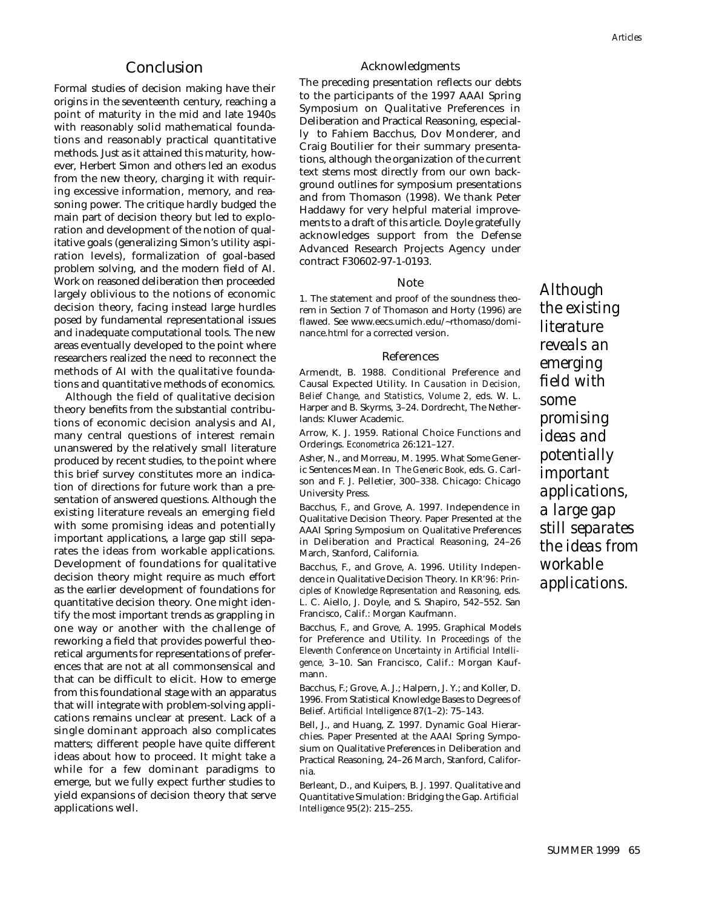## Conclusion

Formal studies of decision making have their origins in the seventeenth century, reaching a point of maturity in the mid and late 1940s with reasonably solid mathematical foundations and reasonably practical quantitative methods. Just as it attained this maturity, however, Herbert Simon and others led an exodus from the new theory, charging it with requiring excessive information, memory, and reasoning power. The critique hardly budged the main part of decision theory but led to exploration and development of the notion of qualitative goals (generalizing Simon's utility aspiration levels), formalization of goal-based problem solving, and the modern field of AI. Work on reasoned deliberation then proceeded largely oblivious to the notions of economic decision theory, facing instead large hurdles posed by fundamental representational issues and inadequate computational tools. The new areas eventually developed to the point where researchers realized the need to reconnect the methods of AI with the qualitative foundations and quantitative methods of economics.

Although the field of qualitative decision theory benefits from the substantial contributions of economic decision analysis and AI, many central questions of interest remain unanswered by the relatively small literature produced by recent studies, to the point where this brief survey constitutes more an indication of directions for future work than a presentation of answered questions. Although the existing literature reveals an emerging field with some promising ideas and potentially important applications, a large gap still separates the ideas from workable applications. Development of foundations for qualitative decision theory might require as much effort as the earlier development of foundations for quantitative decision theory. One might identify the most important trends as grappling in one way or another with the challenge of reworking a field that provides powerful theoretical arguments for representations of preferences that are not at all commonsensical and that can be difficult to elicit. How to emerge from this foundational stage with an apparatus that will integrate with problem-solving applications remains unclear at present. Lack of a single dominant approach also complicates matters; different people have quite different ideas about how to proceed. It might take a while for a few dominant paradigms to emerge, but we fully expect further studies to yield expansions of decision theory that serve applications well.

#### Acknowledgments

The preceding presentation reflects our debts to the participants of the 1997 AAAI Spring Symposium on Qualitative Preferences in Deliberation and Practical Reasoning, especially to Fahiem Bacchus, Dov Monderer, and Craig Boutilier for their summary presentations, although the organization of the current text stems most directly from our own background outlines for symposium presentations and from Thomason (1998). We thank Peter Haddawy for very helpful material improvements to a draft of this article. Doyle gratefully acknowledges support from the Defense Advanced Research Projects Agency under contract F30602-97-1-0193.

#### Note

1. The statement and proof of the soundness theorem in Section 7 of Thomason and Horty (1996) are flawed. See www.eecs.umich.edu/~rthomaso/dominance.html for a corrected version.

#### References

Armendt, B. 1988. Conditional Preference and Causal Expected Utility. In *Causation in Decision, Belief Change, and Statistics, Volume 2,* eds. W. L. Harper and B. Skyrms, 3–24. Dordrecht, The Netherlands: Kluwer Academic.

Arrow, K. J. 1959. Rational Choice Functions and Orderings. *Econometrica* 26:121–127.

Asher, N., and Morreau, M. 1995. What Some Generic Sentences Mean. In *The Generic Book,* eds. G. Carlson and F. J. Pelletier, 300–338. Chicago: Chicago University Press.

Bacchus, F., and Grove, A. 1997. Independence in Qualitative Decision Theory. Paper Presented at the AAAI Spring Symposium on Qualitative Preferences in Deliberation and Practical Reasoning, 24–26 March, Stanford, California.

Bacchus, F., and Grove, A. 1996. Utility Independence in Qualitative Decision Theory. In *KR'96: Principles of Knowledge Representation and Reasoning,* eds. L. C. Aiello, J. Doyle, and S. Shapiro, 542–552. San Francisco, Calif.: Morgan Kaufmann.

Bacchus, F., and Grove, A. 1995. Graphical Models for Preference and Utility. In *Proceedings of the Eleventh Conference on Uncertainty in Artificial Intelligence,* 3–10. San Francisco, Calif.: Morgan Kaufmann.

Bacchus, F.; Grove, A. J.; Halpern, J. Y.; and Koller, D. 1996. From Statistical Knowledge Bases to Degrees of Belief. *Artificial Intelligence* 87(1–2): 75–143.

Bell, J., and Huang, Z. 1997. Dynamic Goal Hierarchies. Paper Presented at the AAAI Spring Symposium on Qualitative Preferences in Deliberation and Practical Reasoning, 24–26 March, Stanford, California.

Berleant, D., and Kuipers, B. J. 1997. Qualitative and Quantitative Simulation: Bridging the Gap. *Artificial Intelligence* 95(2): 215–255.

*Although the existing literature reveals an emerging field with some promising ideas and potentially important applications, a large gap still separates the ideas from workable applications.*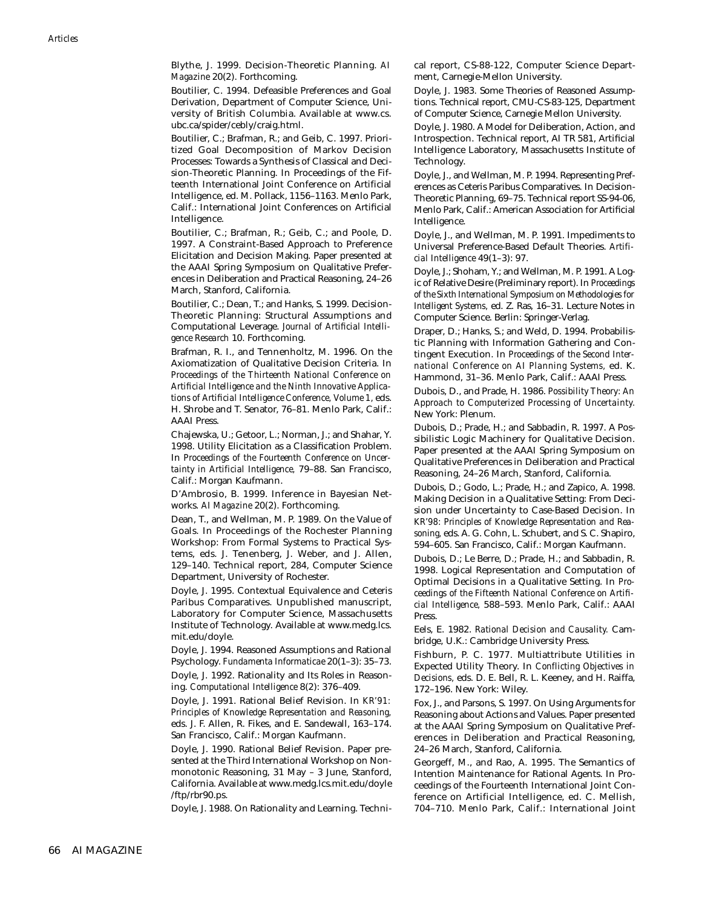Blythe, J. 1999. Decision-Theoretic Planning. *AI Magazine* 20(2). Forthcoming.

Boutilier, C. 1994. Defeasible Preferences and Goal Derivation, Department of Computer Science, University of British Columbia. Available at www.cs. ubc.ca/spider/cebly/craig.html.

Boutilier, C.; Brafman, R.; and Geib, C. 1997. Prioritized Goal Decomposition of Markov Decision Processes: Towards a Synthesis of Classical and Decision-Theoretic Planning. In Proceedings of the Fifteenth International Joint Conference on Artificial Intelligence, ed. M. Pollack, 1156–1163. Menlo Park, Calif.: International Joint Conferences on Artificial Intelligence.

Boutilier, C.; Brafman, R.; Geib, C.; and Poole, D. 1997. A Constraint-Based Approach to Preference Elicitation and Decision Making. Paper presented at the AAAI Spring Symposium on Qualitative Preferences in Deliberation and Practical Reasoning, 24–26 March, Stanford, California.

Boutilier, C.; Dean, T.; and Hanks, S. 1999. Decision-Theoretic Planning: Structural Assumptions and Computational Leverage. *Journal of Artificial Intelligence Research* 10. Forthcoming.

Brafman, R. I., and Tennenholtz, M. 1996. On the Axiomatization of Qualitative Decision Criteria. In *Proceedings of the Thirteenth National Conference on Artificial Intelligence and the Ninth Innovative Applications of Artificial Intelligence Conference, Volume 1,* eds. H. Shrobe and T. Senator, 76–81. Menlo Park, Calif.: AAAI Press.

Chajewska, U.; Getoor, L.; Norman, J.; and Shahar, Y. 1998. Utility Elicitation as a Classification Problem. In *Proceedings of the Fourteenth Conference on Uncertainty in Artificial Intelligence,* 79–88. San Francisco, Calif.: Morgan Kaufmann.

D'Ambrosio, B. 1999. Inference in Bayesian Networks. *AI Magazine* 20(2). Forthcoming.

Dean, T., and Wellman, M. P. 1989. On the Value of Goals. In Proceedings of the Rochester Planning Workshop: From Formal Systems to Practical Systems, eds. J. Tenenberg, J. Weber, and J. Allen, 129–140. Technical report, 284, Computer Science Department, University of Rochester.

Doyle, J. 1995. Contextual Equivalence and Ceteris Paribus Comparatives. Unpublished manuscript, Laboratory for Computer Science, Massachusetts Institute of Technology. Available at www.medg.lcs. mit.edu/doyle.

Doyle, J. 1994. Reasoned Assumptions and Rational Psychology. *Fundamenta Informaticae* 20(1–3): 35–73.

Doyle, J. 1992. Rationality and Its Roles in Reasoning. *Computational Intelligence* 8(2): 376–409.

Doyle, J. 1991. Rational Belief Revision. In *KR'91: Principles of Knowledge Representation and Reasoning,* eds. J. F. Allen, R. Fikes, and E. Sandewall, 163–174. San Francisco, Calif.: Morgan Kaufmann.

Doyle, J. 1990. Rational Belief Revision. Paper presented at the Third International Workshop on Nonmonotonic Reasoning, 31 May – 3 June, Stanford, California. Available at www.medg.lcs.mit.edu/doyle /ftp/rbr90.ps.

Doyle, J. 1988. On Rationality and Learning. Techni-

cal report, CS-88-122, Computer Science Department, Carnegie-Mellon University.

Doyle, J. 1983. Some Theories of Reasoned Assumptions. Technical report, CMU-CS-83-125, Department of Computer Science, Carnegie Mellon University.

Doyle, J. 1980. A Model for Deliberation, Action, and Introspection. Technical report, AI TR 581, Artificial Intelligence Laboratory, Massachusetts Institute of Technology.

Doyle, J., and Wellman, M. P. 1994. Representing Preferences as Ceteris Paribus Comparatives. In Decision-Theoretic Planning, 69–75. Technical report SS-94-06, Menlo Park, Calif.: American Association for Artificial Intelligence.

Doyle, J., and Wellman, M. P. 1991. Impediments to Universal Preference-Based Default Theories. *Artificial Intelligence* 49(1–3): 97.

Doyle, J.; Shoham, Y.; and Wellman, M. P. 1991. A Logic of Relative Desire (Preliminary report). In *Proceedings of the Sixth International Symposium on Methodologies for Intelligent Systems,* ed. Z. Ras, 16–31. Lecture Notes in Computer Science. Berlin: Springer-Verlag.

Draper, D.; Hanks, S.; and Weld, D. 1994. Probabilistic Planning with Information Gathering and Contingent Execution. In *Proceedings of the Second International Conference on AI Planning Systems,* ed. K. Hammond, 31–36. Menlo Park, Calif.: AAAI Press.

Dubois, D., and Prade, H. 1986. *Possibility Theory: An Approach to Computerized Processing of Uncertainty.* New York: Plenum.

Dubois, D.; Prade, H.; and Sabbadin, R. 1997. A Possibilistic Logic Machinery for Qualitative Decision. Paper presented at the AAAI Spring Symposium on Qualitative Preferences in Deliberation and Practical Reasoning, 24–26 March, Stanford, California.

Dubois, D.; Godo, L.; Prade, H.; and Zapico, A. 1998. Making Decision in a Qualitative Setting: From Decision under Uncertainty to Case-Based Decision. In *KR'98: Principles of Knowledge Representation and Reasoning,* eds. A. G. Cohn, L. Schubert, and S. C. Shapiro, 594–605. San Francisco, Calif.: Morgan Kaufmann.

Dubois, D.; Le Berre, D.; Prade, H.; and Sabbadin, R. 1998. Logical Representation and Computation of Optimal Decisions in a Qualitative Setting. In *Proceedings of the Fifteenth National Conference on Artificial Intelligence,* 588–593. Menlo Park, Calif.: AAAI Press.

Eels, E. 1982. *Rational Decision and Causality.* Cambridge, U.K.: Cambridge University Press.

Fishburn, P. C. 1977. Multiattribute Utilities in Expected Utility Theory. In *Conflicting Objectives in Decisions,* eds. D. E. Bell, R. L. Keeney, and H. Raiffa, 172–196. New York: Wiley.

Fox, J., and Parsons, S. 1997. On Using Arguments for Reasoning about Actions and Values. Paper presented at the AAAI Spring Symposium on Qualitative Preferences in Deliberation and Practical Reasoning, 24–26 March, Stanford, California.

Georgeff, M., and Rao, A. 1995. The Semantics of Intention Maintenance for Rational Agents. In Proceedings of the Fourteenth International Joint Conference on Artificial Intelligence, ed. C. Mellish, 704–710. Menlo Park, Calif.: International Joint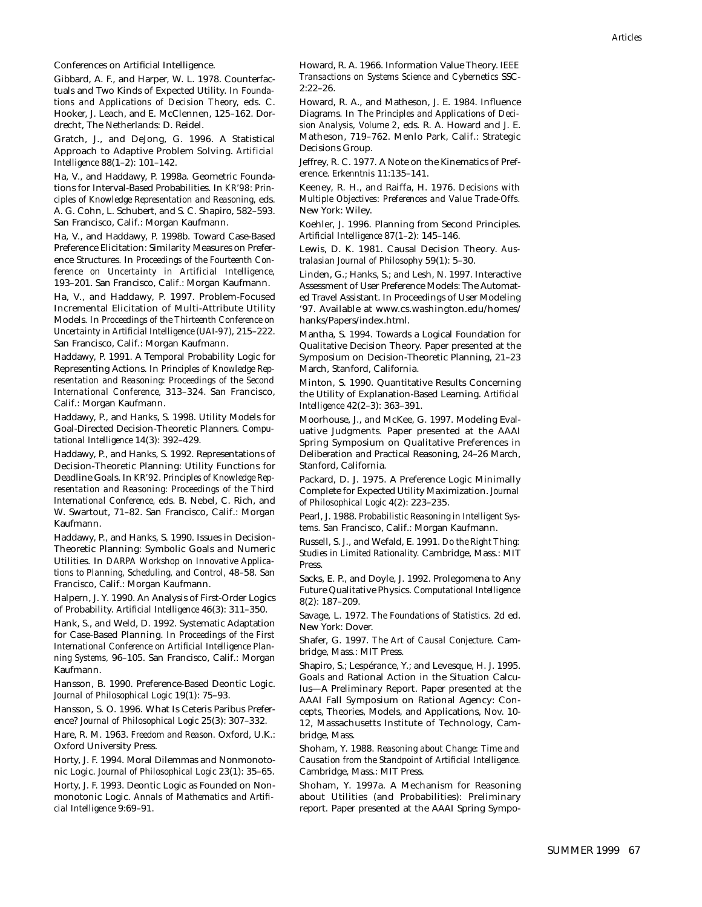Conferences on Artificial Intelligence.

Gibbard, A. F., and Harper, W. L. 1978. Counterfactuals and Two Kinds of Expected Utility. In *Foundations and Applications of Decision Theory,* eds. C. Hooker, J. Leach, and E. McClennen, 125–162. Dordrecht, The Netherlands: D. Reidel.

Gratch, J., and DeJong, G. 1996. A Statistical Approach to Adaptive Problem Solving. *Artificial Intelligence* 88(1–2): 101–142.

Ha, V., and Haddawy, P. 1998a. Geometric Foundations for Interval-Based Probabilities. In *KR'98: Principles of Knowledge Representation and Reasoning,* eds. A. G. Cohn, L. Schubert, and S. C. Shapiro, 582–593. San Francisco, Calif.: Morgan Kaufmann.

Ha, V., and Haddawy, P. 1998b. Toward Case-Based Preference Elicitation: Similarity Measures on Preference Structures. In *Proceedings of the Fourteenth Conference on Uncertainty in Artificial Intelligence,* 193–201. San Francisco, Calif.: Morgan Kaufmann.

Ha, V., and Haddawy, P. 1997. Problem-Focused Incremental Elicitation of Multi-Attribute Utility Models. In *Proceedings of the Thirteenth Conference on Uncertainty in Artificial Intelligence (UAI-97),* 215–222. San Francisco, Calif.: Morgan Kaufmann.

Haddawy, P. 1991. A Temporal Probability Logic for Representing Actions. In *Principles of Knowledge Representation and Reasoning: Proceedings of the Second International Conference,* 313–324. San Francisco, Calif.: Morgan Kaufmann.

Haddawy, P., and Hanks, S. 1998. Utility Models for Goal-Directed Decision-Theoretic Planners. *Computational Intelligence* 14(3): 392–429.

Haddawy, P., and Hanks, S. 1992. Representations of Decision-Theoretic Planning: Utility Functions for Deadline Goals. In *KR'92. Principles of Knowledge Representation and Reasoning: Proceedings of the Third International Conference,* eds. B. Nebel, C. Rich, and W. Swartout, 71–82. San Francisco, Calif.: Morgan Kaufmann.

Haddawy, P., and Hanks, S. 1990. Issues in Decision-Theoretic Planning: Symbolic Goals and Numeric Utilities. In *DARPA Workshop on Innovative Applications to Planning, Scheduling, and Control,* 48–58*.* San Francisco, Calif.: Morgan Kaufmann.

Halpern, J. Y. 1990. An Analysis of First-Order Logics of Probability. *Artificial Intelligence* 46(3): 311–350.

Hank, S., and Weld, D. 1992. Systematic Adaptation for Case-Based Planning. In *Proceedings of the First International Conference on Artificial Intelligence Planning Systems,* 96–105. San Francisco, Calif.: Morgan Kaufmann.

Hansson, B. 1990. Preference-Based Deontic Logic. *Journal of Philosophical Logic* 19(1): 75–93.

Hansson, S. O. 1996. What Is Ceteris Paribus Preference? *Journal of Philosophical Logic* 25(3): 307–332.

Hare, R. M. 1963. *Freedom and Reason.* Oxford, U.K.: Oxford University Press.

Horty, J. F. 1994. Moral Dilemmas and Nonmonotonic Logic. *Journal of Philosophical Logic* 23(1): 35–65.

Horty, J. F. 1993. Deontic Logic as Founded on Nonmonotonic Logic. *Annals of Mathematics and Artificial Intelligence* 9:69–91.

Howard, R. A. 1966. Information Value Theory. *IEEE Transactions on Systems Science and Cybernetics* SSC-2:22–26.

Howard, R. A., and Matheson, J. E. 1984. Influence Diagrams. In *The Principles and Applications of Decision Analysis, Volume 2,* eds. R. A. Howard and J. E. Matheson, 719–762. Menlo Park, Calif.: Strategic Decisions Group.

Jeffrey, R. C. 1977. A Note on the Kinematics of Preference. *Erkenntnis* 11:135–141.

Keeney, R. H., and Raiffa, H. 1976. *Decisions with Multiple Objectives: Preferences and Value Trade-Offs.* New York: Wiley.

Koehler, J. 1996. Planning from Second Principles. *Artificial Intelligence* 87(1–2): 145–146.

Lewis, D. K. 1981. Causal Decision Theory. *Australasian Journal of Philosophy* 59(1): 5–30.

Linden, G.; Hanks, S.; and Lesh, N. 1997. Interactive Assessment of User Preference Models: The Automated Travel Assistant. In Proceedings of User Modeling '97. Available at www.cs.washington.edu/homes/ hanks/Papers/index.html.

Mantha, S. 1994. Towards a Logical Foundation for Qualitative Decision Theory. Paper presented at the Symposium on Decision-Theoretic Planning, 21–23 March, Stanford, California.

Minton, S. 1990. Quantitative Results Concerning the Utility of Explanation-Based Learning. *Artificial Intelligence* 42(2–3): 363–391.

Moorhouse, J., and McKee, G. 1997. Modeling Evaluative Judgments. Paper presented at the AAAI Spring Symposium on Qualitative Preferences in Deliberation and Practical Reasoning, 24–26 March, Stanford, California.

Packard, D. J. 1975. A Preference Logic Minimally Complete for Expected Utility Maximization. *Journal of Philosophical Logic* 4(2): 223–235.

Pearl, J. 1988. *Probabilistic Reasoning in Intelligent Systems.* San Francisco, Calif.: Morgan Kaufmann.

Russell, S. J., and Wefald, E. 1991. *Do the Right Thing: Studies in Limited Rationality.* Cambridge, Mass.: MIT Press.

Sacks, E. P., and Doyle, J. 1992. Prolegomena to Any Future Qualitative Physics. *Computational Intelligence* 8(2): 187–209.

Savage, L. 1972. *The Foundations of Statistics.* 2d ed. New York: Dover.

Shafer, G. 1997. *The Art of Causal Conjecture.* Cambridge, Mass.: MIT Press.

Shapiro, S.; Lespérance, Y.; and Levesque, H. J. 1995. Goals and Rational Action in the Situation Calculus—A Preliminary Report. Paper presented at the AAAI Fall Symposium on Rational Agency: Concepts, Theories, Models, and Applications, Nov. 10- 12, Massachusetts Institute of Technology, Cambridge, Mass.

Shoham, Y. 1988. *Reasoning about Change: Time and Causation from the Standpoint of Artificial Intelligence.* Cambridge, Mass.: MIT Press.

Shoham, Y. 1997a. A Mechanism for Reasoning about Utilities (and Probabilities): Preliminary report. Paper presented at the AAAI Spring Sympo